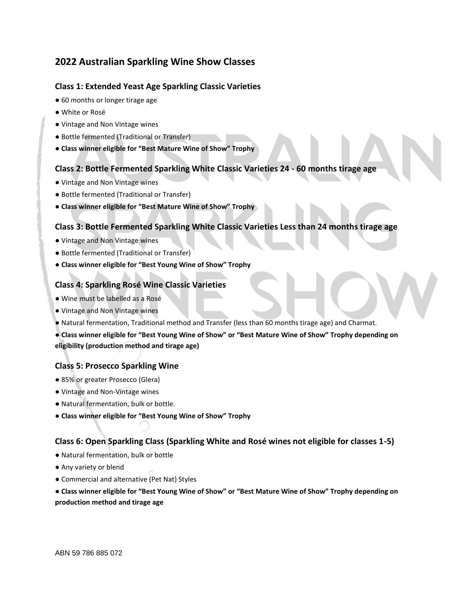# **2022 Australian Sparkling Wine Show Classes**

## **Class 1: Extended Yeast Age Sparkling Classic Varieties**

- 60 months or longer tirage age
- White or Rosé
- Vintage and Non Vintage wines
- Bottle fermented (Traditional or Transfer)
- **Class winner eligible for "Best Mature Wine of Show" Trophy**

## **Class 2: Bottle Fermented Sparkling White Classic Varieties 24 - 60 months tirage age**

- Vintage and Non Vintage wines
- Bottle fermented (Traditional or Transfer)
- **Class winner eligible for "Best Mature Wine of Show" Trophy**

## **Class 3: Bottle Fermented Sparkling White Classic Varieties Less than 24 months tirage age**

- Vintage and Non Vintage wines
- Bottle fermented (Traditional or Transfer)
- **Class winner eligible for "Best Young Wine of Show" Trophy**

### **Class 4: Sparkling Rosé Wine Classic Varieties**

- Wine must be labelled as a Rosé
- Vintage and Non Vintage wines
- Natural fermentation, Traditional method and Transfer (less than 60 months tirage age) and Charmat.

**● Class winner eligible for "Best Young Wine of Show" or "Best Mature Wine of Show" Trophy depending on eligibility (production method and tirage age)** 

### **Class 5: Prosecco Sparkling Wine**

- 85% or greater Prosecco (Glera)
- Vintage and Non-Vintage wines
- Natural fermentation, bulk or bottle.
- **Class winner eligible for "Best Young Wine of Show" Trophy**

### **Class 6: Open Sparkling Class (Sparkling White and Rosé wines not eligible for classes 1-5)**

- Natural fermentation, bulk or bottle
- Any variety or blend
- Commercial and alternative (Pet Nat) Styles

**● Class winner eligible for "Best Young Wine of Show" or "Best Mature Wine of Show" Trophy depending on production method and tirage age**